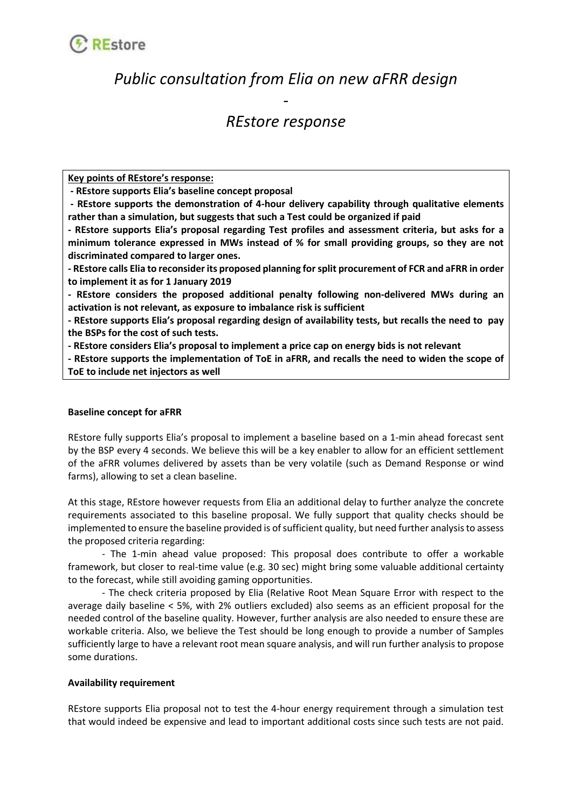

# *Public consultation from Elia on new aFRR design*

## *REstore response*

*-*

**Key points of REstore's response:**

**- REstore supports Elia's baseline concept proposal**

**- REstore supports the demonstration of 4-hour delivery capability through qualitative elements rather than a simulation, but suggests that such a Test could be organized if paid**

**- REstore supports Elia's proposal regarding Test profiles and assessment criteria, but asks for a minimum tolerance expressed in MWs instead of % for small providing groups, so they are not discriminated compared to larger ones.**

**- REstore calls Elia to reconsider its proposed planning for split procurement of FCR and aFRR in order to implement it as for 1 January 2019**

**- REstore considers the proposed additional penalty following non-delivered MWs during an activation is not relevant, as exposure to imbalance risk is sufficient**

**- REstore supports Elia's proposal regarding design of availability tests, but recalls the need to pay the BSPs for the cost of such tests.**

**- REstore considers Elia's proposal to implement a price cap on energy bids is not relevant**

**- REstore supports the implementation of ToE in aFRR, and recalls the need to widen the scope of ToE to include net injectors as well**

### **Baseline concept for aFRR**

REstore fully supports Elia's proposal to implement a baseline based on a 1-min ahead forecast sent by the BSP every 4 seconds. We believe this will be a key enabler to allow for an efficient settlement of the aFRR volumes delivered by assets than be very volatile (such as Demand Response or wind farms), allowing to set a clean baseline.

At this stage, REstore however requests from Elia an additional delay to further analyze the concrete requirements associated to this baseline proposal. We fully support that quality checks should be implemented to ensure the baseline provided is of sufficient quality, but need further analysis to assess the proposed criteria regarding:

- The 1-min ahead value proposed: This proposal does contribute to offer a workable framework, but closer to real-time value (e.g. 30 sec) might bring some valuable additional certainty to the forecast, while still avoiding gaming opportunities.

- The check criteria proposed by Elia (Relative Root Mean Square Error with respect to the average daily baseline < 5%, with 2% outliers excluded) also seems as an efficient proposal for the needed control of the baseline quality. However, further analysis are also needed to ensure these are workable criteria. Also, we believe the Test should be long enough to provide a number of Samples sufficiently large to have a relevant root mean square analysis, and will run further analysis to propose some durations.

### **Availability requirement**

REstore supports Elia proposal not to test the 4-hour energy requirement through a simulation test that would indeed be expensive and lead to important additional costs since such tests are not paid.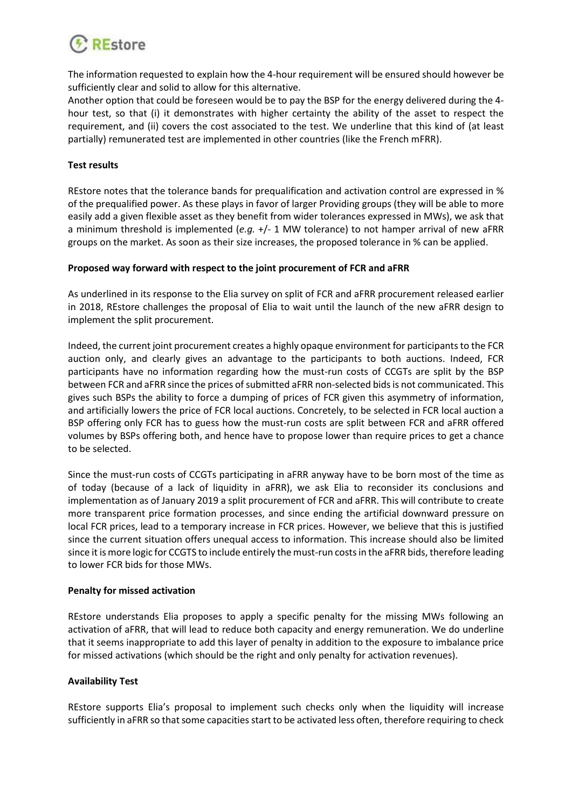

The information requested to explain how the 4-hour requirement will be ensured should however be sufficiently clear and solid to allow for this alternative.

Another option that could be foreseen would be to pay the BSP for the energy delivered during the 4 hour test, so that (i) it demonstrates with higher certainty the ability of the asset to respect the requirement, and (ii) covers the cost associated to the test. We underline that this kind of (at least partially) remunerated test are implemented in other countries (like the French mFRR).

#### **Test results**

REstore notes that the tolerance bands for prequalification and activation control are expressed in % of the prequalified power. As these plays in favor of larger Providing groups (they will be able to more easily add a given flexible asset as they benefit from wider tolerances expressed in MWs), we ask that a minimum threshold is implemented (*e.g.* +/- 1 MW tolerance) to not hamper arrival of new aFRR groups on the market. As soon as their size increases, the proposed tolerance in % can be applied.

### **Proposed way forward with respect to the joint procurement of FCR and aFRR**

As underlined in its response to the Elia survey on split of FCR and aFRR procurement released earlier in 2018, REstore challenges the proposal of Elia to wait until the launch of the new aFRR design to implement the split procurement.

Indeed, the current joint procurement creates a highly opaque environment for participants to the FCR auction only, and clearly gives an advantage to the participants to both auctions. Indeed, FCR participants have no information regarding how the must-run costs of CCGTs are split by the BSP between FCR and aFRR since the prices of submitted aFRR non-selected bids is not communicated. This gives such BSPs the ability to force a dumping of prices of FCR given this asymmetry of information, and artificially lowers the price of FCR local auctions. Concretely, to be selected in FCR local auction a BSP offering only FCR has to guess how the must-run costs are split between FCR and aFRR offered volumes by BSPs offering both, and hence have to propose lower than require prices to get a chance to be selected.

Since the must-run costs of CCGTs participating in aFRR anyway have to be born most of the time as of today (because of a lack of liquidity in aFRR), we ask Elia to reconsider its conclusions and implementation as of January 2019 a split procurement of FCR and aFRR. This will contribute to create more transparent price formation processes, and since ending the artificial downward pressure on local FCR prices, lead to a temporary increase in FCR prices. However, we believe that this is justified since the current situation offers unequal access to information. This increase should also be limited since it is more logic for CCGTS to include entirely the must-run costs in the aFRR bids, therefore leading to lower FCR bids for those MWs.

### **Penalty for missed activation**

REstore understands Elia proposes to apply a specific penalty for the missing MWs following an activation of aFRR, that will lead to reduce both capacity and energy remuneration. We do underline that it seems inappropriate to add this layer of penalty in addition to the exposure to imbalance price for missed activations (which should be the right and only penalty for activation revenues).

### **Availability Test**

REstore supports Elia's proposal to implement such checks only when the liquidity will increase sufficiently in aFRR so that some capacities start to be activated less often, therefore requiring to check